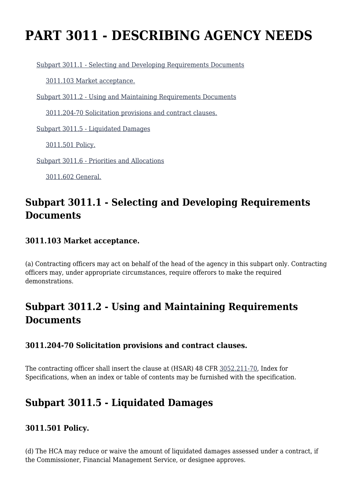# **PART 3011 - DESCRIBING AGENCY NEEDS**

[Subpart 3011.1 - Selecting and Developing Requirements Documents](https://origin-www.acquisition.gov/%5Brp:link:hsar-part-3011%5D#Subpart_3011_1_T48_7029121)

[3011.103 Market acceptance.](https://origin-www.acquisition.gov/%5Brp:link:hsar-part-3011%5D#Section_3011_103_T48_702912111)

[Subpart 3011.2 - Using and Maintaining Requirements Documents](https://origin-www.acquisition.gov/%5Brp:link:hsar-part-3011%5D#Subpart_3011_2_T48_7029122)

[3011.204-70 Solicitation provisions and contract clauses.](https://origin-www.acquisition.gov/%5Brp:link:hsar-part-3011%5D#Section_3011_204_70_T48_702912211)

[Subpart 3011.5 - Liquidated Damages](https://origin-www.acquisition.gov/%5Brp:link:hsar-part-3011%5D#Subpart_3011_5_T48_7029123)

[3011.501 Policy.](https://origin-www.acquisition.gov/%5Brp:link:hsar-part-3011%5D#Section_3011_501_T48_702912311)

[Subpart 3011.6 - Priorities and Allocations](https://origin-www.acquisition.gov/%5Brp:link:hsar-part-3011%5D#Subpart_3011_6_T48_7029124)

[3011.602 General.](https://origin-www.acquisition.gov/%5Brp:link:hsar-part-3011%5D#Section_3011_602_T48_702912411)

## **Subpart 3011.1 - Selecting and Developing Requirements Documents**

#### **3011.103 Market acceptance.**

(a) Contracting officers may act on behalf of the head of the agency in this subpart only. Contracting officers may, under appropriate circumstances, require offerors to make the required demonstrations.

## **Subpart 3011.2 - Using and Maintaining Requirements Documents**

#### **3011.204-70 Solicitation provisions and contract clauses.**

The contracting officer shall insert the clause at (HSAR) 48 CFR [3052.211-70,](https://origin-www.acquisition.gov/%5Brp:link:hsar-part-3052%5D#Section_3052_211_70_T48_70215512112) Index for Specifications, when an index or table of contents may be furnished with the specification.

### **Subpart 3011.5 - Liquidated Damages**

#### **3011.501 Policy.**

(d) The HCA may reduce or waive the amount of liquidated damages assessed under a contract, if the Commissioner, Financial Management Service, or designee approves.